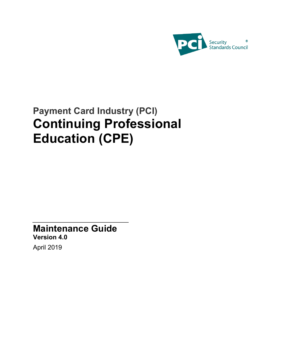

# **Payment Card Industry (PCI) Continuing Professional Education (CPE)**

**Maintenance Guide Version 4.0** April 2019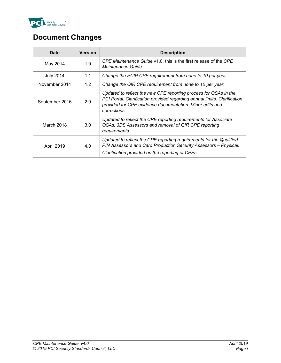

## **Document Changes**

| <b>Date</b>      | <b>Version</b> | <b>Description</b>                                                                                                                                                                                                        |  |
|------------------|----------------|---------------------------------------------------------------------------------------------------------------------------------------------------------------------------------------------------------------------------|--|
| May 2014         | 1.0            | CPE Maintenance Guide v1.0, this is the first release of the CPE<br>Maintenance Guide.                                                                                                                                    |  |
| <b>July 2014</b> | 1.1            | Change the PCIP CPE requirement from none to 10 per year.                                                                                                                                                                 |  |
| November 2014    | 1.2            | Change the QIR CPE requirement from none to 10 per year.                                                                                                                                                                  |  |
| September 2016   | 2.0            | Updated to reflect the new CPE reporting process for QSAs in the<br>PCI Portal. Clarification provided regarding annual limits. Clarification<br>provided for CPE evidence documentation. Minor edits and<br>corrections. |  |
| March 2018       | 3.0            | Updated to reflect the CPE reporting requirements for Associate<br>QSAs, 3DS Assessors and removal of QIR CPE reporting<br>requirements.                                                                                  |  |
| April 2019       | 4.0            | Updated to reflect the CPE reporting requirements for the Qualified<br>PIN Assessors and Card Production Security Assessors - Physical.<br>Clarification provided on the reporting of CPEs.                               |  |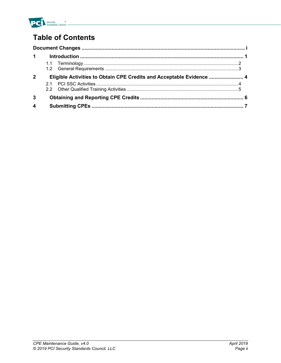

## **Table of Contents**

| $\blacktriangleleft$ |    |                                                                      |  |
|----------------------|----|----------------------------------------------------------------------|--|
|                      |    |                                                                      |  |
| $\mathbf 2$          |    | Eligible Activities to Obtain CPE Credits and Acceptable Evidence  4 |  |
|                      | 21 |                                                                      |  |
| 3                    |    |                                                                      |  |
| 4                    |    |                                                                      |  |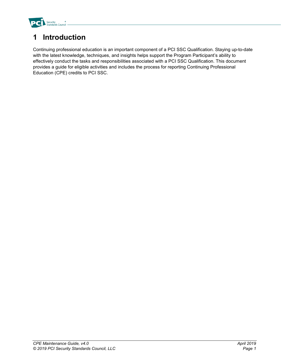

### **1 Introduction**

Continuing professional education is an important component of a PCI SSC Qualification. Staying up-to-date with the latest knowledge, techniques, and insights helps support the Program Participant's ability to effectively conduct the tasks and responsibilities associated with a PCI SSC Qualification. This document provides a guide for eligible activities and includes the process for reporting Continuing Professional Education (CPE) credits to PCI SSC.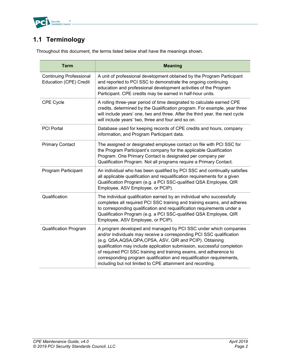

#### **1.1 Terminology**

Throughout this document, the terms listed below shall have the meanings shown.

| <b>Term</b>                                              | <b>Meaning</b>                                                                                                                                                                                                                                                                                                                                                                                                                                                                               |
|----------------------------------------------------------|----------------------------------------------------------------------------------------------------------------------------------------------------------------------------------------------------------------------------------------------------------------------------------------------------------------------------------------------------------------------------------------------------------------------------------------------------------------------------------------------|
| <b>Continuing Professional</b><br>Education (CPE) Credit | A unit of professional development obtained by the Program Participant<br>and reported to PCI SSC to demonstrate the ongoing continuing<br>education and professional development activities of the Program<br>Participant. CPE credits may be earned in half-hour units.                                                                                                                                                                                                                    |
| CPE Cycle                                                | A rolling three-year period of time designated to calculate earned CPE<br>credits, determined by the Qualification program. For example, year three<br>will include years' one, two and three. After the third year, the next cycle<br>will include years' two, three and four and so on.                                                                                                                                                                                                    |
| <b>PCI Portal</b>                                        | Database used for keeping records of CPE credits and hours, company<br>information, and Program Participant data.                                                                                                                                                                                                                                                                                                                                                                            |
| <b>Primary Contact</b>                                   | The assigned or designated employee contact on file with PCI SSC for<br>the Program Participant's company for the applicable Qualification<br>Program. One Primary Contact is designated per company per<br>Qualification Program. Not all programs require a Primary Contact.                                                                                                                                                                                                               |
| <b>Program Participant</b>                               | An individual who has been qualified by PCI SSC and continually satisfies<br>all applicable qualification and requalification requirements for a given<br>Qualification Program (e.g. a PCI SSC-qualified QSA Employee, QIR<br>Employee, ASV Employee, or PCIP).                                                                                                                                                                                                                             |
| Qualification                                            | The individual qualification earned by an individual who successfully<br>completes all required PCI SSC training and training exams, and adheres<br>to corresponding qualification and requalification requirements under a<br>Qualification Program (e.g. a PCI SSC-qualified QSA Employee, QIR<br>Employee, ASV Employee, or PCIP).                                                                                                                                                        |
| <b>Qualification Program</b>                             | A program developed and managed by PCI SSC under which companies<br>and/or individuals may receive a corresponding PCI SSC qualification<br>(e.g. QSA, AQSA, QPA, CPSA, ASV, QIR and PCIP). Obtaining<br>qualification may include application submission, successful completion<br>of required PCI SSC training and training exams, and adherence to<br>corresponding program qualification and requalification requirements,<br>including but not limited to CPE attainment and recording. |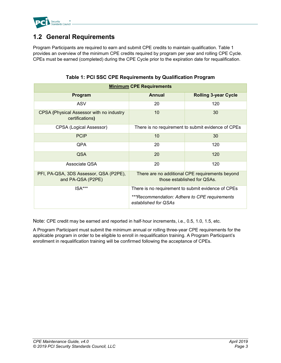

#### **1.2 General Requirements**

Program Participants are required to earn and submit CPE credits to maintain qualification. Table 1 provides an overview of the minimum CPE credits required by program per year and rolling CPE Cycle. CPEs must be earned (completed) during the CPE Cycle prior to the expiration date for requalification.

| <b>Minimum CPE Requirements</b>                                    |                                                                                |                                                    |  |
|--------------------------------------------------------------------|--------------------------------------------------------------------------------|----------------------------------------------------|--|
| Program                                                            | Annual                                                                         | <b>Rolling 3-year Cycle</b>                        |  |
| <b>ASV</b>                                                         | 20                                                                             | 120                                                |  |
| <b>CPSA (Physical Assessor with no industry</b><br>certifications) | 10<br>30                                                                       |                                                    |  |
| CPSA (Logical Assessor)                                            | There is no requirement to submit evidence of CPEs                             |                                                    |  |
| <b>PCIP</b>                                                        | 10                                                                             | 30                                                 |  |
| <b>QPA</b>                                                         | 20                                                                             | 120                                                |  |
| <b>QSA</b>                                                         | 20                                                                             | 120                                                |  |
| Associate QSA                                                      | 20                                                                             | 120                                                |  |
| PFI, PA-QSA, 3DS Assessor, QSA (P2PE),<br>and PA-QSA (P2PE)        | There are no additional CPE requirements beyond<br>those established for QSAs. |                                                    |  |
| $ISA***$                                                           |                                                                                | There is no requirement to submit evidence of CPEs |  |
|                                                                    | ***Recommendation: Adhere to CPE requirements<br>established for QSAs          |                                                    |  |

**Table 1: PCI SSC CPE Requirements by Qualification Program**

Note: CPE credit may be earned and reported in half-hour increments, i.e., 0.5, 1.0, 1.5, etc.

A Program Participant must submit the minimum annual or rolling three-year CPE requirements for the applicable program in order to be eligible to enroll in requalification training. A Program Participant's enrollment in requalification training will be confirmed following the acceptance of CPEs.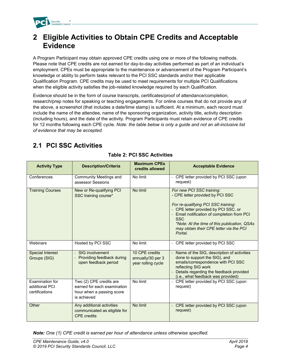

#### **2 Eligible Activities to Obtain CPE Credits and Acceptable Evidence**

A Program Participant may obtain approved CPE credits using one or more of the following methods. Please note that CPE credits are not earned for day-to-day activities performed as part of an individual's employment. CPEs must be appropriate to the maintenance or advancement of the Program Participant's knowledge or ability to perform tasks relevant to the PCI SSC standards and/or their applicable Qualification Program. CPE credits may be used to meet requirements for multiple PCI Qualifications when the eligible activity satisfies the job-related knowledge required by each Qualification.

Evidence should be in the form of course transcripts, certificates/proof of attendance/completion, research/prep notes for speaking or teaching engagements. For online courses that do not provide any of the above, a screenshot (that includes a date/time stamp) is sufficient. At a minimum, each record must include the name of the attendee, name of the sponsoring organization, activity title, activity description (including hours), and the date of the activity. Program Participants must retain evidence of CPE credits for 12 months following each CPE cycle. *Note: the table below is only a guide and not an all-inclusive list of evidence that may be accepted.*

#### **2.1 PCI SSC Activities**

| <b>Activity Type</b>                                | <b>Description/Criteria</b>                                                                        | <b>Maximum CPEs</b><br>credits allowed                    | <b>Acceptable Evidence</b>                                                                                                                                                                                                                                                                                      |  |
|-----------------------------------------------------|----------------------------------------------------------------------------------------------------|-----------------------------------------------------------|-----------------------------------------------------------------------------------------------------------------------------------------------------------------------------------------------------------------------------------------------------------------------------------------------------------------|--|
| Conferences                                         | Community Meetings and<br>assessor Sessions                                                        | No limit                                                  | - CPE letter provided by PCI SSC (upon<br>request)                                                                                                                                                                                                                                                              |  |
| <b>Training Courses</b>                             | New or Re-qualifying PCI<br>SSC training course*                                                   | No limit                                                  | For new PCI SSC training:<br>- CPE letter provided by PCI SSC<br>For re-qualifying PCI SSC training:<br>- CPE letter provided by PCI SSC, or<br>- Email notification of completion from PCI<br><b>SSC</b><br>*Note: At the time of this publication, QSAs<br>may obtain their CPE letter via the PCI<br>Portal. |  |
| Webinars                                            | Hosted by PCI SSC                                                                                  | No limit                                                  | - CPE letter provided by PCI SSC                                                                                                                                                                                                                                                                                |  |
| <b>Special Interest</b><br>Groups (SIG)             | - SIG involvement<br>Providing feedback during<br>open feedback period                             | 10 CPE credits<br>annually/30 per 3<br>year rolling cycle | - Name of the SIG, description of activities<br>done to support the SIG), and<br>emails/correspondence with PCI SSC<br>reflecting SIG work<br>- Details regarding the feedback provided<br>(i.e., what feedback was provided)                                                                                   |  |
| Examination for<br>additional PCI<br>certifications | Two (2) CPE credits are<br>earned for each examination<br>hour when a passing score<br>is achieved | No limit                                                  | - CPE letter provided by PCI SSC (upon<br>request)                                                                                                                                                                                                                                                              |  |
| Other                                               | Any additional activities<br>communicated as eligible for<br><b>CPE</b> credits                    | No limit                                                  | - CPE letter provided by PCI SSC (upon<br>request)                                                                                                                                                                                                                                                              |  |

#### **Table 2: PCI SSC Activities**

*Note: One (1) CPE credit is earned per hour of attendance unless otherwise specified.*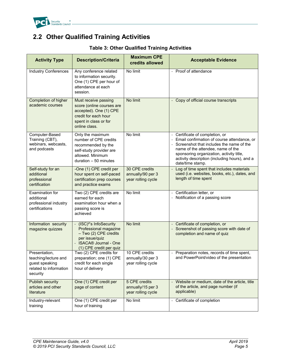

#### **2.2 Other Qualified Training Activities**

| <b>Activity Type</b>                                                                          | <b>Description/Criteria</b>                                                                                                                                      | <b>Maximum CPE</b><br>credits allowed                     | <b>Acceptable Evidence</b>                                                                                                                                                                                                                                                         |
|-----------------------------------------------------------------------------------------------|------------------------------------------------------------------------------------------------------------------------------------------------------------------|-----------------------------------------------------------|------------------------------------------------------------------------------------------------------------------------------------------------------------------------------------------------------------------------------------------------------------------------------------|
| <b>Industry Conferences</b>                                                                   | Any conference related<br>to information security.<br>One (1) CPE per hour of<br>attendance at each<br>session.                                                  | No limit                                                  | - Proof of attendance                                                                                                                                                                                                                                                              |
| Completion of higher<br>academic courses                                                      | Must receive passing<br>score (online courses are<br>accepted). One (1) CPE<br>credit for each hour<br>spent in class or for<br>online class.                    | No limit                                                  | - Copy of official course transcripts                                                                                                                                                                                                                                              |
| Computer-Based<br>Training (CBT),<br>webinars, webcasts,<br>and podcasts                      | Only the maximum<br>number of CPE credits<br>recommended by the<br>self-study provider are<br>allowed. Minimum<br>duration $-50$ minutes                         | No limit                                                  | - Certificate of completion, or<br>Email confirmation of course attendance, or<br>- Screenshot that includes the name of the<br>name of the attendee, name of the<br>sponsoring organization, activity title,<br>activity description (including hours), and a<br>date/time stamp. |
| Self-study for an<br>additional<br>professional<br>certification                              | -One (1) CPE credit per<br>hour spent on self-paced<br>certification prep courses<br>and practice exams                                                          | 30 CPE credits<br>annually/90 per 3<br>year rolling cycle | Log of time spent that includes materials<br>used (i.e. websites, books, etc.), dates, and<br>length of time spent                                                                                                                                                                 |
| Examination for<br>additional<br>professional industry<br>certifications                      | Two (2) CPE credits are<br>earned for each<br>examination hour when a<br>passing score is<br>achieved                                                            | No limit                                                  | - Certification letter, or<br>- Notification of a passing score                                                                                                                                                                                                                    |
| Information security<br>magazine quizzes                                                      | (ISC) <sup>2</sup> 's InfoSecurity<br>Professional magazine<br>- Two (2) CPE credits<br>per issue/quiz<br><b>ISACA® Journal - One</b><br>(1) CPE credit per quiz | No limit                                                  | - Certificate of completion, or<br>- Screenshot of passing score with date of<br>completion and name of quiz                                                                                                                                                                       |
| Presentation,<br>teaching/lecture and<br>guest speaking<br>related to information<br>security | Two (2) CPE credits for<br>preparation; one (1) CPE<br>credit for each single<br>hour of delivery                                                                | 10 CPE credits<br>annually/30 per 3<br>year rolling cycle | - Preparation notes, records of time spent,<br>and PowerPoint/video of the presentation                                                                                                                                                                                            |
| <b>Publish security</b><br>articles and other<br>literature                                   | One (1) CPE credit per<br>page of content                                                                                                                        | 5 CPE credits<br>annually/15 per 3<br>year rolling cycle  | - Website or medium, date of the article, title<br>of the article, and page number (if<br>applicable)                                                                                                                                                                              |
| Industry-relevant<br>training                                                                 | One (1) CPE credit per<br>hour of training                                                                                                                       | No limit                                                  | - Certificate of completion                                                                                                                                                                                                                                                        |

#### **Table 3: Other Qualified Training Activities**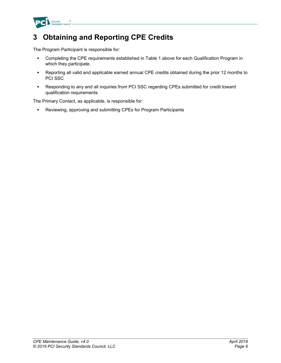

#### **3 Obtaining and Reporting CPE Credits**

The Program Participant is responsible for:

- Completing the CPE requirements established in Table 1 above for each Qualification Program in which they participate.
- Reporting all valid and applicable earned annual CPE credits obtained during the prior 12 months to PCI SSC
- Responding to any and all inquiries from PCI SSC regarding CPEs submitted for credit toward qualification requirements

The Primary Contact, as applicable, is responsible for:

Reviewing, approving and submitting CPEs for Program Participants